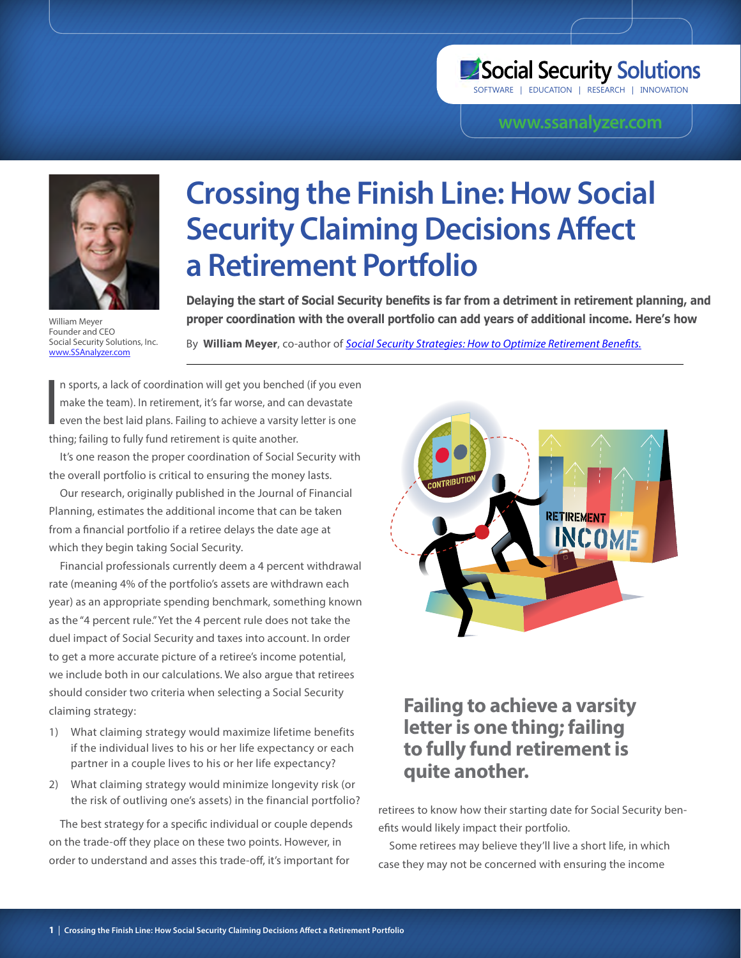# Social Security Solutions

SOFTWARE | EDUCATION | RESEARCH | INNOVATION

### **<www.ssanalyzer.com>**



Founder and CEO Social Security Solutions, Inc. <www.SSAnalyzer.com>

# **Crossing the Finish Line: How Social Security Claiming Decisions Affect a Retirement Portfolio**

**Delaying the start of Social Security benefits is far from a detriment in retirement planning, and**  William Meyer **proper coordination with the overall portfolio can add years of additional income. Here's how** 

By **William Meyer**, co-author of *[Social Security Strategies: How to Optimize Retirement Benefits.](http://www.SSAnalyzer.com/fppibook)*

I n sports, a lack of coordination will get you benched (if you even make the team). In retirement, it's far worse, and can devastate even the best laid plans. Failing to achieve a varsity letter is one thing; failing to fully fund retirement is quite another.

It's one reason the proper coordination of Social Security with the overall portfolio is critical to ensuring the money lasts.

Our research, originally published in the Journal of Financial Planning, estimates the additional income that can be taken from a financial portfolio if a retiree delays the date age at which they begin taking Social Security.

Financial professionals currently deem a 4 percent withdrawal rate (meaning 4% of the portfolio's assets are withdrawn each year) as an appropriate spending benchmark, something known as the "4 percent rule." Yet the 4 percent rule does not take the duel impact of Social Security and taxes into account. In order to get a more accurate picture of a retiree's income potential, we include both in our calculations. We also argue that retirees should consider two criteria when selecting a Social Security claiming strategy:

- 1) What claiming strategy would maximize lifetime benefits if the individual lives to his or her life expectancy or each partner in a couple lives to his or her life expectancy?
- 2) What claiming strategy would minimize longevity risk (or the risk of outliving one's assets) in the financial portfolio?

The best strategy for a specific individual or couple depends on the trade-off they place on these two points. However, in order to understand and asses this trade-off, it's important for



## **Failing to achieve a varsity letter is one thing; failing to fully fund retirement is quite another.**

retirees to know how their starting date for Social Security benefits would likely impact their portfolio.

Some retirees may believe they'll live a short life, in which case they may not be concerned with ensuring the income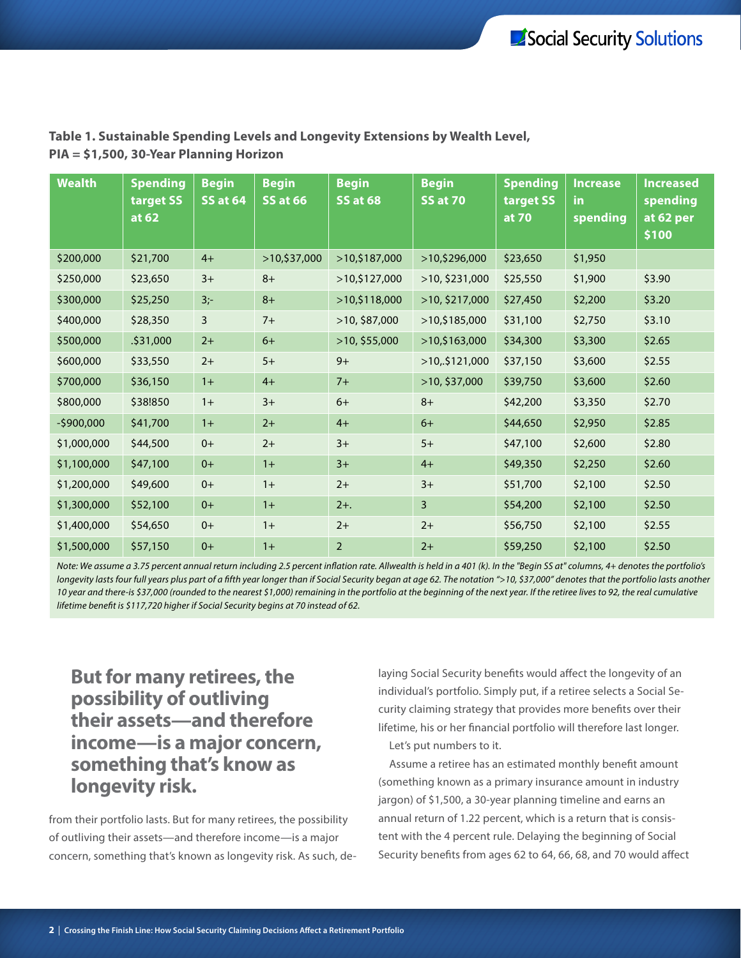| <b>Wealth</b> | <b>Spending</b><br>target SS<br>at 62 | <b>Begin</b><br><b>SS at 64</b> | <b>Begin</b><br><b>SS at 66</b> | <b>Begin</b><br><b>SS at 68</b> | <b>Begin</b><br><b>SS at 70</b> | <b>Spending</b><br>target SS<br>at 70 | <b>Increase</b><br><b>in</b><br>spending | <b>Increased</b><br>spending<br>at 62 per<br>\$100 |
|---------------|---------------------------------------|---------------------------------|---------------------------------|---------------------------------|---------------------------------|---------------------------------------|------------------------------------------|----------------------------------------------------|
| \$200,000     | \$21,700                              | $4+$                            | >10,537,000                     | >10,5187,000                    | >10,5296,000                    | \$23,650                              | \$1,950                                  |                                                    |
| \$250,000     | \$23,650                              | $3+$                            | $8+$                            | >10,5127,000                    | $>10,$ \$231,000                | \$25,550                              | \$1,900                                  | \$3.90                                             |
| \$300,000     | \$25,250                              | $3 -$                           | $8+$                            | >10,5118,000                    | >10, \$217,000                  | \$27,450                              | \$2,200                                  | \$3.20                                             |
| \$400,000     | \$28,350                              | 3                               | $7+$                            | >10, \$87,000                   | >10,5185,000                    | \$31,100                              | \$2,750                                  | \$3.10                                             |
| \$500,000     | \$31,000                              | $2+$                            | $6+$                            | >10, \$55,000                   | >10,5163,000                    | \$34,300                              | \$3,300                                  | \$2.65                                             |
| \$600,000     | \$33,550                              | $2+$                            | $5+$                            | $9+$                            | >10,5121,000                    | \$37,150                              | \$3,600                                  | \$2.55                                             |
| \$700,000     | \$36,150                              | $1+$                            | $4+$                            | $7+$                            | >10, \$37,000                   | \$39,750                              | \$3,600                                  | \$2.60                                             |
| \$800,000     | \$38!850                              | $1+$                            | $3+$                            | $6+$                            | $8+$                            | \$42,200                              | \$3,350                                  | \$2.70                                             |
| $-5900,000$   | \$41,700                              | $1+$                            | $2+$                            | $4+$                            | $6+$                            | \$44,650                              | \$2,950                                  | \$2.85                                             |
| \$1,000,000   | \$44,500                              | $0+$                            | $2+$                            | $3+$                            | $5+$                            | \$47,100                              | \$2,600                                  | \$2.80                                             |
| \$1,100,000   | \$47,100                              | $0+$                            | $1+$                            | $3+$                            | $4+$                            | \$49,350                              | \$2,250                                  | \$2.60                                             |
| \$1,200,000   | \$49,600                              | $0+$                            | $1+$                            | $2+$                            | $3+$                            | \$51,700                              | \$2,100                                  | \$2.50                                             |
| \$1,300,000   | \$52,100                              | $0+$                            | $1+$                            | $2+$ .                          | 3                               | \$54,200                              | \$2,100                                  | \$2.50                                             |
| \$1,400,000   | \$54,650                              | $0+$                            | $1+$                            | $2+$                            | $2+$                            | \$56,750                              | \$2,100                                  | \$2.55                                             |
| \$1,500,000   | \$57,150                              | $0+$                            | $1+$                            | $\overline{2}$                  | $2+$                            | \$59,250                              | \$2,100                                  | \$2.50                                             |

### **Table 1. Sustainable Spending Levels and Longevity Extensions by Wealth Level, PIA = \$1,500, 30-Year Planning Horizon**

*Note: We assume a 3.75 percent annual return including 2.5 percent inflation rate. Allwealth is held in a 401 (k). In the "Begin SS at" columns, 4+ denotes the portfolio's longevity lasts four full years plus part of a fifth year longer than if Social Security began at age 62. The notation ">10, \$37,000" denotes that the portfolio lasts another 10 year and there-is \$37,000 (rounded to the nearest \$1,000) remaining in the portfolio at the beginning of the next year. If the retiree lives to 92, the real cumulative lifetime benefit is \$117,720 higher if Social Security begins at 70 instead of 62.*

## **But for many retirees, the possibility of outliving their assets—and therefore income—is a major concern, something that's know as longevity risk.**

from their portfolio lasts. But for many retirees, the possibility of outliving their assets—and therefore income—is a major concern, something that's known as longevity risk. As such, delaying Social Security benefits would affect the longevity of an individual's portfolio. Simply put, if a retiree selects a Social Security claiming strategy that provides more benefits over their lifetime, his or her financial portfolio will therefore last longer. Let's put numbers to it.

Assume a retiree has an estimated monthly benefit amount (something known as a primary insurance amount in industry jargon) of \$1,500, a 30-year planning timeline and earns an annual return of 1.22 percent, which is a return that is consistent with the 4 percent rule. Delaying the beginning of Social Security benefits from ages 62 to 64, 66, 68, and 70 would affect